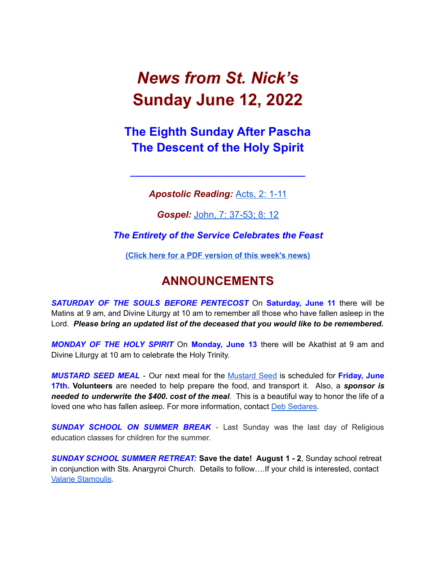# *News from St. Nick's* **Sunday June 12, 2022**

# **The Eighth Sunday After Pascha The Descent of the Holy Spirit**

*Apostolic Reading:* [Acts,](https://biblia.com/bible/esv/acts/2/1-11) 2: 1-11

**\_\_\_\_\_\_\_\_\_\_\_\_\_\_\_\_\_\_\_\_\_\_\_\_\_\_\_\_\_\_\_\_\_\_**

*Gospel:* John, 7: [37-53;](https://biblia.com/bible/esv/john-7-37--8-12) 8: 12

*The Entirety of the Service Celebrates the Feast*

**(Click here for a PDF [version](http://www.stnicholaschurch.org/Images/News/2022-06-12.pdf) of this week's news)**

# **ANNOUNCEMENTS**

*SATURDAY OF THE SOULS BEFORE PENTECOST* On **Saturday, June 11** there will be Matins at 9 am, and Divine Liturgy at 10 am to remember all those who have fallen asleep in the Lord. *Please bring an updated list of the deceased that you would like to be remembered.*

*MONDAY OF THE HOLY SPIRIT* On **Monday, June 13** there will be Akathist at 9 am and Divine Liturgy at 10 am to celebrate the Holy Trinity.

*MUSTARD SEED MEAL* - Our next meal for the [Mustard](https://mustardseedcw.org/) Seed is scheduled for **Friday, June 17th. Volunteers** are needed to help prepare the food, and transport it. Also, a *sponsor is needed to underwrite the \$400. cost of the meal*. This is a beautiful way to honor the life of a loved one who has fallen asleep. For more information, contact Deb [Sedares](mailto:Dsedares@pinehills.com).

*SUNDAY SCHOOL ON SUMMER BREAK* - Last Sunday was the last day of Religious education classes for children for the summer.

*SUNDAY SCHOOL SUMMER RETREAT:* **Save the date! August 1 - 2**, Sunday school retreat in conjunction with Sts. Anargyroi Church. Details to follow….If your child is interested, contact Valarie [Stamoulis.](mailto:valarie.stamoulis@gmail.com)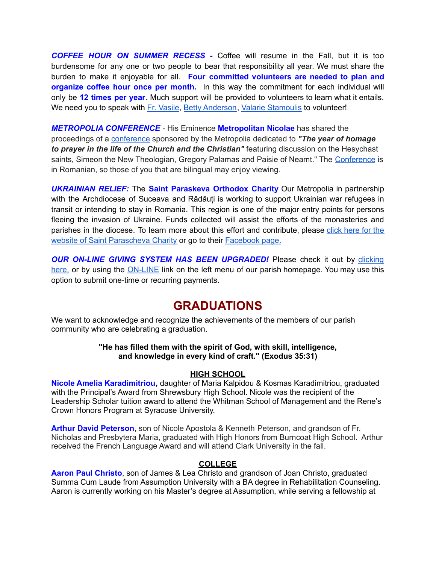*COFFEE HOUR ON SUMMER RECESS -* Coffee will resume in the Fall, but it is too burdensome for any one or two people to bear that responsibility all year. We must share the burden to make it enjoyable for all. **Four committed volunteers are needed to plan and organize coffee hour once per month.** In this way the commitment for each individual will only be **12 times per year**. Much support will be provided to volunteers to learn what it entails. We need you to speak with Fr. [Vasile,](mailto:fr.vasileaileni@gmail.com) Betty [Anderson](mailto:bettya16@verizon.net), Valarie [Stamoulis](mailto:valarie.stamoulis@gmail.com) to volunteer!

*METROPOLIA CONFERENCE* - His Eminence **Metropolitan Nicolae** has shared the proceedings of a [conference](https://us02web.zoom.us/rec/share/6A7m_BqNcCqvWeWHaoHJ6e6xTFqZ9fj8Uv5AbIHeTXaNHx9gZeddOBiTKLMAaz2t.HHkYUkux7eSslR2m) sponsored by the Metropolia dedicated to *"The year of homage to prayer in the life of the Church and the Christian"* featuring discussion on the Hesychast saints, Simeon the New Theologian, Gregory Palamas and Paisie of Neamt." The [Conference](https://us02web.zoom.us/rec/share/6A7m_BqNcCqvWeWHaoHJ6e6xTFqZ9fj8Uv5AbIHeTXaNHx9gZeddOBiTKLMAaz2t.HHkYUkux7eSslR2m) is in Romanian, so those of you that are bilingual may enjoy viewing.

*UKRAINIAN RELIEF:* The **Saint Paraskeva Orthodox Charity** Our Metropolia in partnership with the Archdiocese of Suceava and Rădăuți is working to support Ukrainian war refugees in transit or intending to stay in Romania. This region is one of the major entry points for persons fleeing the invasion of Ukraine. Funds collected will assist the efforts of the monasteries and parishes in the diocese. To learn more about this effort and contribute, please click [here](https://www.spcharity.org/) for the website of Saint [Parascheva](https://www.spcharity.org/) Charity or go to their [Facebook](https://www.facebook.com/donate/263166699318376/4935598499809637/) page.

*OUR ON-LINE GIVING SYSTEM HAS BEEN UPGRADED!* Please check it out by [clicking](https://giving.parishsoft.com/app/giving/stnicks) [here,](https://giving.parishsoft.com/app/giving/stnicks) or by using the **[ON-LINE](http://www.stnicholaschurch.org)** link on the left menu of our parish homepage. You may use this option to submit one-time or recurring payments.

### **GRADUATIONS**

We want to acknowledge and recognize the achievements of the members of our parish community who are celebrating a graduation.

#### **"He has filled them with the spirit of God, with skill, intelligence, and knowledge in every kind of craft." (Exodus 35:31)**

#### **HIGH SCHOOL**

**Nicole Amelia Karadimitriou,** daughter of Maria Kalpidou & Kosmas Karadimitriou, graduated with the Principal's Award from Shrewsbury High School. Nicole was the recipient of the Leadership Scholar tuition award to attend the Whitman School of Management and the Rene's Crown Honors Program at Syracuse University.

**Arthur David Peterson**, son of Nicole Apostola & Kenneth Peterson, and grandson of Fr. Nicholas and Presbytera Maria, graduated with High Honors from Burncoat High School. Arthur received the French Language Award and will attend Clark University in the fall.

#### **COLLEGE**

**Aaron Paul Christo**, son of James & Lea Christo and grandson of Joan Christo, graduated Summa Cum Laude from Assumption University with a BA degree in Rehabilitation Counseling. Aaron is currently working on his Master's degree at Assumption, while serving a fellowship at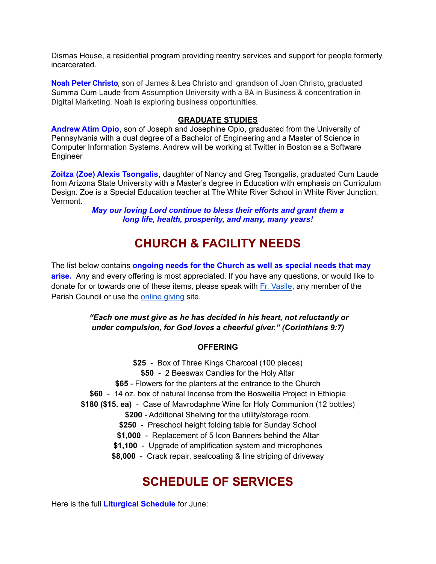Dismas House, a residential program providing reentry services and support for people formerly incarcerated.

**Noah Peter Christo**, son of James & Lea Christo and grandson of Joan Christo, graduated Summa Cum Laude from Assumption University with a BA in Business & concentration in Digital Marketing. Noah is exploring business opportunities.

#### **GRADUATE STUDIES**

**Andrew Atim Opio**, son of Joseph and Josephine Opio, graduated from the University of Pennsylvania with a dual degree of a Bachelor of Engineering and a Master of Science in Computer Information Systems. Andrew will be working at Twitter in Boston as a Software Engineer

**Zoitza (Zoe) Alexis Tsongalis**, daughter of Nancy and Greg Tsongalis, graduated Cum Laude from Arizona State University with a Master's degree in Education with emphasis on Curriculum Design. Zoe is a Special Education teacher at The White River School in White River Junction, Vermont.

> *May our loving Lord continue to bless their efforts and grant them a long life, health, prosperity, and many, many years!*

### **CHURCH & FACILITY NEEDS**

The list below contains **ongoing needs for the Church as well as special needs that may arise.** Any and every offering is most appreciated. If you have any questions, or would like to donate for or towards one of these items, please speak with Fr. [Vasile](mailto:fr.vasileaileni@gmail.com), any member of the Parish Council or use the [online](https://giving.parishsoft.com/app/giving/stnicks) giving site.

> *"Each one must give as he has decided in his heart, not reluctantly or under compulsion, for God loves a cheerful giver." (Corinthians 9:7)*

#### **OFFERING**

**\$25** - Box of Three Kings Charcoal (100 pieces)

**\$50** - 2 Beeswax Candles for the Holy Altar

- **\$65** Flowers for the planters at the entrance to the Church
- **\$60** 14 oz. box of natural Incense from the Boswellia Project in Ethiopia
- **\$180 (\$15. ea)** Case of Mavrodaphne Wine for Holy Communion (12 bottles)
	- **\$200** Additional Shelving for the utility/storage room.
	- **\$250** Preschool height folding table for Sunday School
	- **\$1,000** Replacement of 5 Icon Banners behind the Altar
	- **\$1,100** Upgrade of amplification system and microphones

**\$8,000** - Crack repair, sealcoating & line striping of driveway

### **SCHEDULE OF SERVICES**

Here is the full **Liturgical Schedule** for June: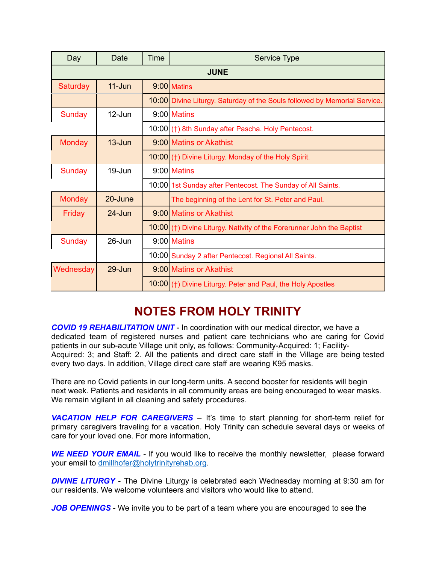| Day           | Date               | Time | <b>Service Type</b>                                                       |
|---------------|--------------------|------|---------------------------------------------------------------------------|
| <b>JUNE</b>   |                    |      |                                                                           |
| Saturday      | $11 - Jun$         |      | $9:00$ Matins                                                             |
|               |                    |      | 10:00 Divine Liturgy. Saturday of the Souls followed by Memorial Service. |
| Sunday        | $12$ -Jun          |      | $9:00$ Matins                                                             |
|               |                    |      | 10:00 (†) 8th Sunday after Pascha. Holy Pentecost.                        |
| <b>Monday</b> | $13 - \frac{1}{2}$ |      | 9:00 Matins or Akathist                                                   |
|               |                    |      | 10:00 (†) Divine Liturgy. Monday of the Holy Spirit.                      |
| <b>Sunday</b> | 19-Jun             |      | 9:00 Matins                                                               |
|               |                    |      | 10:00 1st Sunday after Pentecost. The Sunday of All Saints.               |
| <b>Monday</b> | 20-June            |      | The beginning of the Lent for St. Peter and Paul.                         |
| Friday        | $24 - Jun$         |      | 9:00 Matins or Akathist                                                   |
|               |                    |      | $10:00$ (†) Divine Liturgy. Nativity of the Forerunner John the Baptist   |
| <b>Sunday</b> | 26-Jun             |      | $9:00$ Matins                                                             |
|               |                    |      | 10:00 Sunday 2 after Pentecost. Regional All Saints.                      |
| Wednesday     | 29-Jun             |      | 9:00 Matins or Akathist                                                   |
|               |                    |      | $10:00$ (†) Divine Liturgy. Peter and Paul, the Holy Apostles             |

# **NOTES FROM HOLY TRINITY**

*COVID 19 REHABILITATION UNIT* - In coordination with our medical director, we have a dedicated team of registered nurses and patient care technicians who are caring for Covid patients in our sub-acute Village unit only, as follows: Community-Acquired: 1; Facility-Acquired: 3; and Staff: 2. All the patients and direct care staff in the Village are being tested every two days. In addition, Village direct care staff are wearing K95 masks.

There are no Covid patients in our long-term units. A second booster for residents will begin next week. Patients and residents in all community areas are being encouraged to wear masks. We remain vigilant in all cleaning and safety procedures.

*VACATION HELP FOR CAREGIVERS* – It's time to start planning for short-term relief for primary caregivers traveling for a vacation. Holy Trinity can schedule several days or weeks of care for your loved one. For more information,

*WE NEED YOUR EMAIL* - If you would like to receive the monthly newsletter, please forward your email to [dmillhofer@holytrinityrehab.org](mailto:dmillhofer@holytrinityrehab.org).

*DIVINE LITURGY* - The Divine Liturgy is celebrated each Wednesday morning at 9:30 am for our residents. We welcome volunteers and visitors who would like to attend.

*JOB OPENINGS* - We invite you to be part of a team where you are encouraged to see the